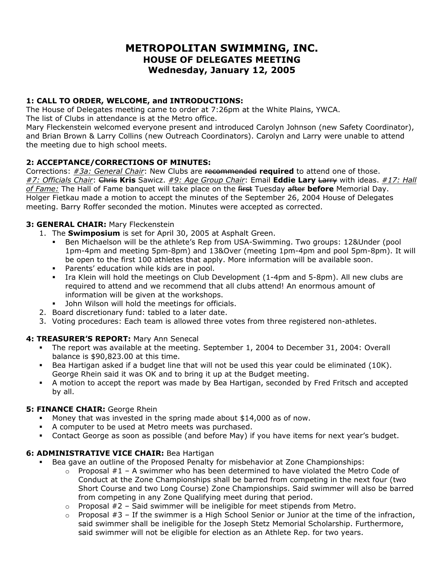# **METROPOLITAN SWIMMING, INC. HOUSE OF DELEGATES MEETING Wednesday, January 12, 2005**

# **1: CALL TO ORDER, WELCOME, and INTRODUCTIONS:**

The House of Delegates meeting came to order at 7:26pm at the White Plains, YWCA. The list of Clubs in attendance is at the Metro office.

Mary Fleckenstein welcomed everyone present and introduced Carolyn Johnson (new Safety Coordinator), and Brian Brown & Larry Collins (new Outreach Coordinators). Carolyn and Larry were unable to attend the meeting due to high school meets.

# **2: ACCEPTANCE/CORRECTIONS OF MINUTES:**

Corrections: *#3a: General Chair*: New Clubs are recommended **required** to attend one of those. *#7: Officials Chair*: Chris **Kris** Sawicz. *#9: Age Group Chair*: Email **Eddie Lary** Larry with ideas. *#17: Hall of Fame:* The Hall of Fame banquet will take place on the first Tuesday after **before** Memorial Day. Holger Fietkau made a motion to accept the minutes of the September 26, 2004 House of Delegates meeting. Barry Roffer seconded the motion. Minutes were accepted as corrected.

# **3: GENERAL CHAIR:** Mary Fleckenstein

- 1. The **Swimposium** is set for April 30, 2005 at Asphalt Green.
	- Ben Michaelson will be the athlete's Rep from USA-Swimming. Two groups: 12&Under (pool 1pm-4pm and meeting 5pm-8pm) and 13&Over (meeting 1pm-4pm and pool 5pm-8pm). It will be open to the first 100 athletes that apply. More information will be available soon.
	- **Parents' education while kids are in pool.**
	- Ira Klein will hold the meetings on Club Development (1-4pm and 5-8pm). All new clubs are required to attend and we recommend that all clubs attend! An enormous amount of information will be given at the workshops.
	- John Wilson will hold the meetings for officials.
- 2. Board discretionary fund: tabled to a later date.
- 3. Voting procedures: Each team is allowed three votes from three registered non-athletes.

# **4: TREASURER'S REPORT:** Mary Ann Senecal

- The report was available at the meeting. September 1, 2004 to December 31, 2004: Overall balance is \$90,823.00 at this time.
- Bea Hartigan asked if a budget line that will not be used this year could be eliminated (10K). George Rhein said it was OK and to bring it up at the Budget meeting.
- A motion to accept the report was made by Bea Hartigan, seconded by Fred Fritsch and accepted by all.

#### **5: FINANCE CHAIR:** George Rhein

- Money that was invested in the spring made about \$14,000 as of now.
- A computer to be used at Metro meets was purchased.
- Contact George as soon as possible (and before May) if you have items for next year's budget.

#### **6: ADMINISTRATIVE VICE CHAIR: Bea Hartigan**

- Bea gave an outline of the Proposed Penalty for misbehavior at Zone Championships:
	- $\circ$  Proposal #1 A swimmer who has been determined to have violated the Metro Code of Conduct at the Zone Championships shall be barred from competing in the next four (two Short Course and two Long Course) Zone Championships. Said swimmer will also be barred from competing in any Zone Qualifying meet during that period.
	- $\circ$  Proposal #2 Said swimmer will be ineligible for meet stipends from Metro.
	- $\circ$  Proposal #3 If the swimmer is a High School Senior or Junior at the time of the infraction, said swimmer shall be ineligible for the Joseph Stetz Memorial Scholarship. Furthermore, said swimmer will not be eligible for election as an Athlete Rep. for two years.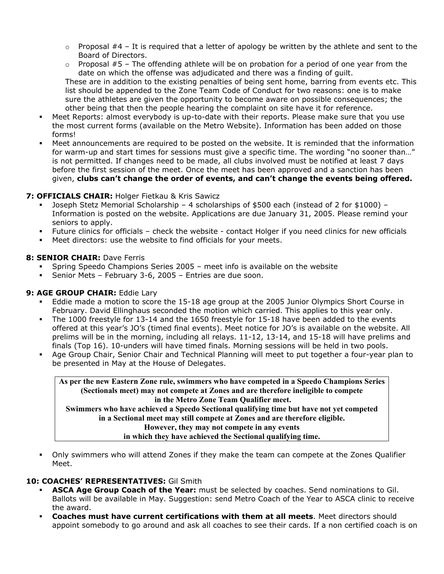- $\circ$  Proposal #4 It is required that a letter of apology be written by the athlete and sent to the Board of Directors.
- $\circ$  Proposal #5 The offending athlete will be on probation for a period of one year from the date on which the offense was adjudicated and there was a finding of guilt. These are in addition to the existing penalties of being sent home, barring from events etc. This list should be appended to the Zone Team Code of Conduct for two reasons: one is to make sure the athletes are given the opportunity to become aware on possible consequences; the other being that then the people hearing the complaint on site have it for reference.
- Meet Reports: almost everybody is up-to-date with their reports. Please make sure that you use the most current forms (available on the Metro Website). Information has been added on those forms!
- Meet announcements are required to be posted on the website. It is reminded that the information for warm-up and start times for sessions must give a specific time. The wording "no sooner than…" is not permitted. If changes need to be made, all clubs involved must be notified at least 7 days before the first session of the meet. Once the meet has been approved and a sanction has been given, **clubs can't change the order of events, and can't change the events being offered.**

#### **7: OFFICIALS CHAIR:** Holger Fietkau & Kris Sawicz

- Joseph Stetz Memorial Scholarship 4 scholarships of \$500 each (instead of 2 for \$1000) Information is posted on the website. Applications are due January 31, 2005. Please remind your seniors to apply.
- Future clinics for officials check the website contact Holger if you need clinics for new officials
- Meet directors: use the website to find officials for your meets.

#### **8: SENIOR CHAIR: Dave Ferris**

- Spring Speedo Champions Series 2005 meet info is available on the website
- Senior Mets February 3-6, 2005 Entries are due soon.

#### **9: AGE GROUP CHAIR:** Eddie Lary

- Eddie made a motion to score the 15-18 age group at the 2005 Junior Olympics Short Course in February. David Ellinghaus seconded the motion which carried. This applies to this year only.
- The 1000 freestyle for 13-14 and the 1650 freestyle for 15-18 have been added to the events offered at this year's JO's (timed final events). Meet notice for JO's is available on the website. All prelims will be in the morning, including all relays. 11-12, 13-14, and 15-18 will have prelims and finals (Top 16). 10-unders will have timed finals. Morning sessions will be held in two pools.
- Age Group Chair, Senior Chair and Technical Planning will meet to put together a four-year plan to be presented in May at the House of Delegates.

**As per the new Eastern Zone rule, swimmers who have competed in a Speedo Champions Series (Sectionals meet) may not compete at Zones and are therefore ineligible to compete in the Metro Zone Team Qualifier meet. Swimmers who have achieved a Speedo Sectional qualifying time but have not yet competed in a Sectional meet may still compete at Zones and are therefore eligible. However, they may not compete in any events in which they have achieved the Sectional qualifying time.** 

 Only swimmers who will attend Zones if they make the team can compete at the Zones Qualifier Meet.

#### **10: COACHES' REPRESENTATIVES:** Gil Smith

- **ASCA Age Group Coach of the Year:** must be selected by coaches. Send nominations to Gil. Ballots will be available in May. Suggestion: send Metro Coach of the Year to ASCA clinic to receive the award.
- **Coaches must have current certifications with them at all meets**. Meet directors should appoint somebody to go around and ask all coaches to see their cards. If a non certified coach is on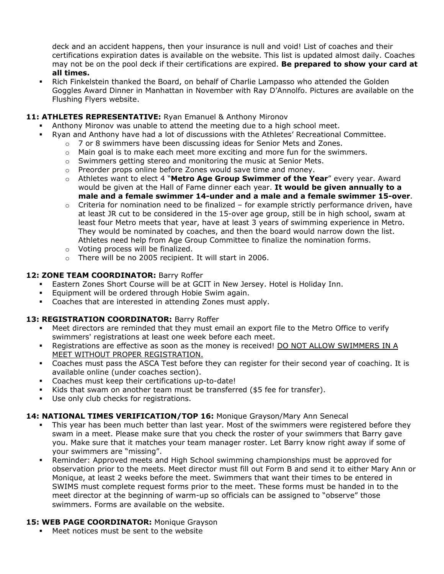deck and an accident happens, then your insurance is null and void! List of coaches and their certifications expiration dates is available on the website. This list is updated almost daily. Coaches may not be on the pool deck if their certifications are expired. **Be prepared to show your card at all times.** 

 Rich Finkelstein thanked the Board, on behalf of Charlie Lampasso who attended the Golden Goggles Award Dinner in Manhattan in November with Ray D'Annolfo. Pictures are available on the Flushing Flyers website.

#### **11: ATHLETES REPRESENTATIVE:** Ryan Emanuel & Anthony Mironov

- Anthony Mironov was unable to attend the meeting due to a high school meet.
	- Ryan and Anthony have had a lot of discussions with the Athletes' Recreational Committee.
		- $\circ$  7 or 8 swimmers have been discussing ideas for Senior Mets and Zones.
		- $\circ$  Main goal is to make each meet more exciting and more fun for the swimmers.
		- $\circ$  Swimmers getting stereo and monitoring the music at Senior Mets.
		- o Preorder props online before Zones would save time and money.
		- o Athletes want to elect 4 "**Metro Age Group Swimmer of the Year**" every year. Award would be given at the Hall of Fame dinner each year. **It would be given annually to a male and a female swimmer 14-under and a male and a female swimmer 15-over**.
		- $\circ$  Criteria for nomination need to be finalized for example strictly performance driven, have at least JR cut to be considered in the 15-over age group, still be in high school, swam at least four Metro meets that year, have at least 3 years of swimming experience in Metro. They would be nominated by coaches, and then the board would narrow down the list. Athletes need help from Age Group Committee to finalize the nomination forms.
		- o Voting process will be finalized.
		- o There will be no 2005 recipient. It will start in 2006.

#### **12: ZONE TEAM COORDINATOR:** Barry Roffer

- Eastern Zones Short Course will be at GCIT in New Jersey. Hotel is Holiday Inn.
- Equipment will be ordered through Hobie Swim again.
- Coaches that are interested in attending Zones must apply.

#### **13: REGISTRATION COORDINATOR:** Barry Roffer

- Meet directors are reminded that they must email an export file to the Metro Office to verify swimmers' registrations at least one week before each meet.
- Registrations are effective as soon as the money is received! DO NOT ALLOW SWIMMERS IN A MEET WITHOUT PROPER REGISTRATION.
- Coaches must pass the ASCA Test before they can register for their second year of coaching. It is available online (under coaches section).
- Coaches must keep their certifications up-to-date!
- Kids that swam on another team must be transferred (\$5 fee for transfer).
- Use only club checks for registrations.

#### **14: NATIONAL TIMES VERIFICATION/TOP 16:** Monique Grayson/Mary Ann Senecal

- This year has been much better than last year. Most of the swimmers were registered before they swam in a meet. Please make sure that you check the roster of your swimmers that Barry gave you. Make sure that it matches your team manager roster. Let Barry know right away if some of your swimmers are "missing".
- Reminder: Approved meets and High School swimming championships must be approved for observation prior to the meets. Meet director must fill out Form B and send it to either Mary Ann or Monique, at least 2 weeks before the meet. Swimmers that want their times to be entered in SWIMS must complete request forms prior to the meet. These forms must be handed in to the meet director at the beginning of warm-up so officials can be assigned to "observe" those swimmers. Forms are available on the website.

#### 15: WEB PAGE COORDINATOR: Monique Grayson

Meet notices must be sent to the website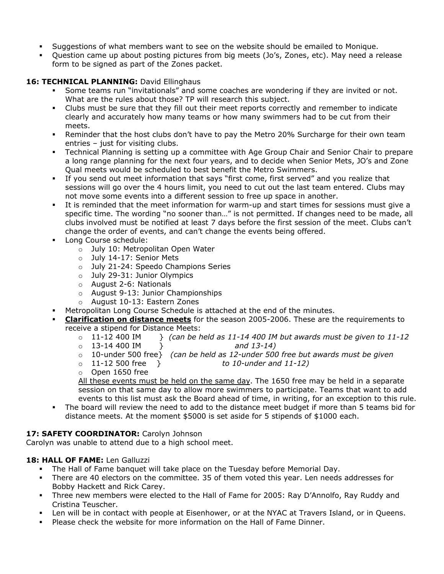- Suggestions of what members want to see on the website should be emailed to Monique.
- Question came up about posting pictures from big meets (Jo's, Zones, etc). May need a release form to be signed as part of the Zones packet.

# 16: TECHNICAL PLANNING: David Ellinghaus

- Some teams run "invitationals" and some coaches are wondering if they are invited or not. What are the rules about those? TP will research this subject.
- Clubs must be sure that they fill out their meet reports correctly and remember to indicate clearly and accurately how many teams or how many swimmers had to be cut from their meets.
- **•** Reminder that the host clubs don't have to pay the Metro 20% Surcharge for their own team entries – just for visiting clubs.
- Technical Planning is setting up a committee with Age Group Chair and Senior Chair to prepare a long range planning for the next four years, and to decide when Senior Mets, JO's and Zone Qual meets would be scheduled to best benefit the Metro Swimmers.
- If you send out meet information that says "first come, first served" and you realize that sessions will go over the 4 hours limit, you need to cut out the last team entered. Clubs may not move some events into a different session to free up space in another.
- It is reminded that the meet information for warm-up and start times for sessions must give a specific time. The wording "no sooner than…" is not permitted. If changes need to be made, all clubs involved must be notified at least 7 days before the first session of the meet. Clubs can't change the order of events, and can't change the events being offered.
- **Long Course schedule:** 
	- o July 10: Metropolitan Open Water
	- o July 14-17: Senior Mets
	- o July 21-24: Speedo Champions Series
	- o July 29-31: Junior Olympics
	- o August 2-6: Nationals
	- o August 9-13: Junior Championships
	- o August 10-13: Eastern Zones
- Metropolitan Long Course Schedule is attached at the end of the minutes.
- **Clarification on distance meets** for the season 2005-2006. These are the requirements to receive a stipend for Distance Meets:
	- $\circ$  11-12 400 IM  $\circ$  *(can be held as 11-14 400 IM but awards must be given to 11-12* o 13-14 400 IM } *and 13-14)*
	- o 10-under 500 free} *(can be held as 12-under 500 free but awards must be given*
	- o 11-12 500 free } *to 10-under and 11-12)*
	- o Open 1650 free

All these events must be held on the same day. The 1650 free may be held in a separate session on that same day to allow more swimmers to participate. Teams that want to add events to this list must ask the Board ahead of time, in writing, for an exception to this rule.

 The board will review the need to add to the distance meet budget if more than 5 teams bid for distance meets. At the moment \$5000 is set aside for 5 stipends of \$1000 each.

#### **17: SAFETY COORDINATOR:** Carolyn Johnson

Carolyn was unable to attend due to a high school meet.

#### **18: HALL OF FAME:** Len Galluzzi

- The Hall of Fame banquet will take place on the Tuesday before Memorial Day.
- There are 40 electors on the committee. 35 of them voted this year. Len needs addresses for Bobby Hackett and Rick Carey.
- Three new members were elected to the Hall of Fame for 2005: Ray D'Annolfo, Ray Ruddy and Cristina Teuscher.
- Len will be in contact with people at Eisenhower, or at the NYAC at Travers Island, or in Queens.
- Please check the website for more information on the Hall of Fame Dinner.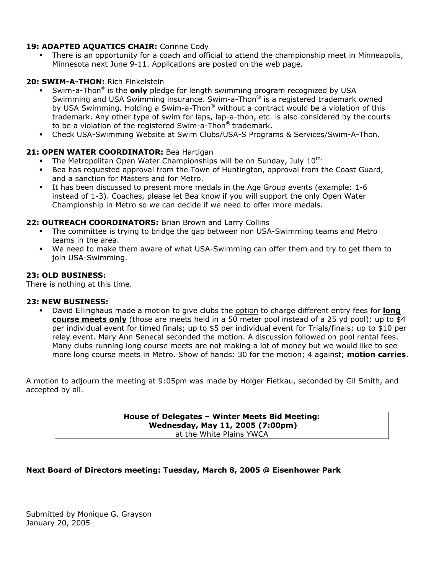#### **19: ADAPTED AQUATICS CHAIR:** Corinne Cody

 There is an opportunity for a coach and official to attend the championship meet in Minneapolis, Minnesota next June 9-11. Applications are posted on the web page.

#### **20: SWIM-A-THON:** Rich Finkelstein

- Swim-a-Thon<sup>®</sup> is the **only** pledge for length swimming program recognized by USA Swimming and USA Swimming insurance. Swim-a-Thon<sup>®</sup> is a registered trademark owned by USA Swimming. Holding a Swim-a-Thon® without a contract would be a violation of this trademark. Any other type of swim for laps, lap-a-thon, etc. is also considered by the courts to be a violation of the registered Swim-a-Thon® trademark.
- Check USA-Swimming Website at Swim Clubs/USA-S Programs & Services/Swim-A-Thon.

#### **21: OPEN WATER COORDINATOR:** Bea Hartigan

- The Metropolitan Open Water Championships will be on Sunday, July  $10^{\text{th}}$ .<br>Bea has requested approval from the Town of Huntington, approval from t
- Bea has requested approval from the Town of Huntington, approval from the Coast Guard, and a sanction for Masters and for Metro.
- It has been discussed to present more medals in the Age Group events (example: 1-6 instead of 1-3). Coaches, please let Bea know if you will support the only Open Water Championship in Metro so we can decide if we need to offer more medals.

#### **22: OUTREACH COORDINATORS:** Brian Brown and Larry Collins

- The committee is trying to bridge the gap between non USA-Swimming teams and Metro teams in the area.
- We need to make them aware of what USA-Swimming can offer them and try to get them to join USA-Swimming.

#### **23: OLD BUSINESS:**

There is nothing at this time.

#### **23: NEW BUSINESS:**

 David Ellinghaus made a motion to give clubs the option to charge different entry fees for **long course meets only** (those are meets held in a 50 meter pool instead of a 25 yd pool): up to \$4 per individual event for timed finals; up to \$5 per individual event for Trials/finals; up to \$10 per relay event. Mary Ann Senecal seconded the motion. A discussion followed on pool rental fees. Many clubs running long course meets are not making a lot of money but we would like to see more long course meets in Metro. Show of hands: 30 for the motion; 4 against; **motion carries**.

A motion to adjourn the meeting at 9:05pm was made by Holger Fietkau, seconded by Gil Smith, and accepted by all.

> **House of Delegates – Winter Meets Bid Meeting: Wednesday, May 11, 2005 (7:00pm)**  at the White Plains YWCA

#### **Next Board of Directors meeting: Tuesday, March 8, 2005 @ Eisenhower Park**

Submitted by Monique G. Grayson January 20, 2005